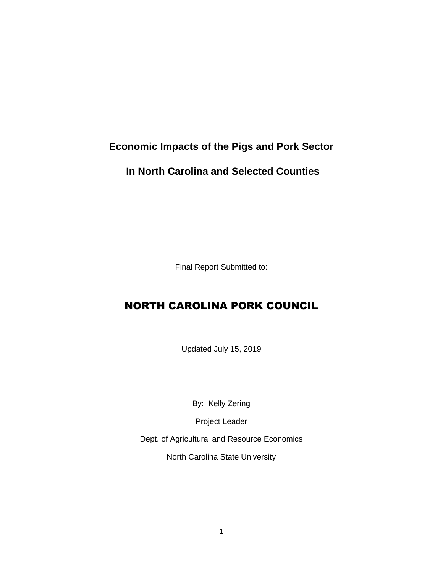# **Economic Impacts of the Pigs and Pork Sector**

# **In North Carolina and Selected Counties**

Final Report Submitted to:

# NORTH CAROLINA PORK COUNCIL

Updated July 15, 2019

By: Kelly Zering

Project Leader

Dept. of Agricultural and Resource Economics

North Carolina State University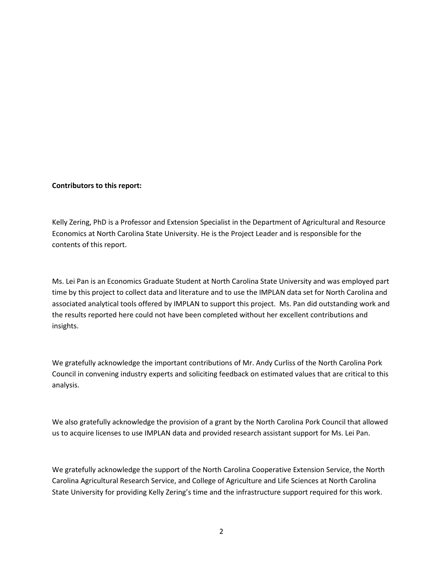#### **Contributors to this report:**

Kelly Zering, PhD is a Professor and Extension Specialist in the Department of Agricultural and Resource Economics at North Carolina State University. He is the Project Leader and is responsible for the contents of this report.

Ms. Lei Pan is an Economics Graduate Student at North Carolina State University and was employed part time by this project to collect data and literature and to use the IMPLAN data set for North Carolina and associated analytical tools offered by IMPLAN to support this project. Ms. Pan did outstanding work and the results reported here could not have been completed without her excellent contributions and insights.

We gratefully acknowledge the important contributions of Mr. Andy Curliss of the North Carolina Pork Council in convening industry experts and soliciting feedback on estimated values that are critical to this analysis.

We also gratefully acknowledge the provision of a grant by the North Carolina Pork Council that allowed us to acquire licenses to use IMPLAN data and provided research assistant support for Ms. Lei Pan.

We gratefully acknowledge the support of the North Carolina Cooperative Extension Service, the North Carolina Agricultural Research Service, and College of Agriculture and Life Sciences at North Carolina State University for providing Kelly Zering's time and the infrastructure support required for this work.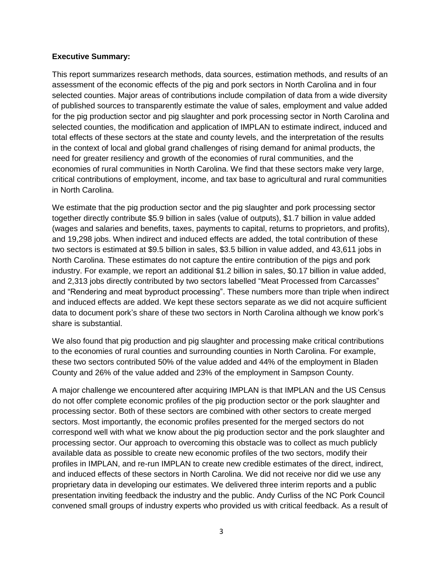#### **Executive Summary:**

This report summarizes research methods, data sources, estimation methods, and results of an assessment of the economic effects of the pig and pork sectors in North Carolina and in four selected counties. Major areas of contributions include compilation of data from a wide diversity of published sources to transparently estimate the value of sales, employment and value added for the pig production sector and pig slaughter and pork processing sector in North Carolina and selected counties, the modification and application of IMPLAN to estimate indirect, induced and total effects of these sectors at the state and county levels, and the interpretation of the results in the context of local and global grand challenges of rising demand for animal products, the need for greater resiliency and growth of the economies of rural communities, and the economies of rural communities in North Carolina. We find that these sectors make very large, critical contributions of employment, income, and tax base to agricultural and rural communities in North Carolina.

We estimate that the pig production sector and the pig slaughter and pork processing sector together directly contribute \$5.9 billion in sales (value of outputs), \$1.7 billion in value added (wages and salaries and benefits, taxes, payments to capital, returns to proprietors, and profits), and 19,298 jobs. When indirect and induced effects are added, the total contribution of these two sectors is estimated at \$9.5 billion in sales, \$3.5 billion in value added, and 43,611 jobs in North Carolina. These estimates do not capture the entire contribution of the pigs and pork industry. For example, we report an additional \$1.2 billion in sales, \$0.17 billion in value added, and 2,313 jobs directly contributed by two sectors labelled "Meat Processed from Carcasses" and "Rendering and meat byproduct processing". These numbers more than triple when indirect and induced effects are added. We kept these sectors separate as we did not acquire sufficient data to document pork's share of these two sectors in North Carolina although we know pork's share is substantial.

We also found that pig production and pig slaughter and processing make critical contributions to the economies of rural counties and surrounding counties in North Carolina. For example, these two sectors contributed 50% of the value added and 44% of the employment in Bladen County and 26% of the value added and 23% of the employment in Sampson County.

A major challenge we encountered after acquiring IMPLAN is that IMPLAN and the US Census do not offer complete economic profiles of the pig production sector or the pork slaughter and processing sector. Both of these sectors are combined with other sectors to create merged sectors. Most importantly, the economic profiles presented for the merged sectors do not correspond well with what we know about the pig production sector and the pork slaughter and processing sector. Our approach to overcoming this obstacle was to collect as much publicly available data as possible to create new economic profiles of the two sectors, modify their profiles in IMPLAN, and re-run IMPLAN to create new credible estimates of the direct, indirect, and induced effects of these sectors in North Carolina. We did not receive nor did we use any proprietary data in developing our estimates. We delivered three interim reports and a public presentation inviting feedback the industry and the public. Andy Curliss of the NC Pork Council convened small groups of industry experts who provided us with critical feedback. As a result of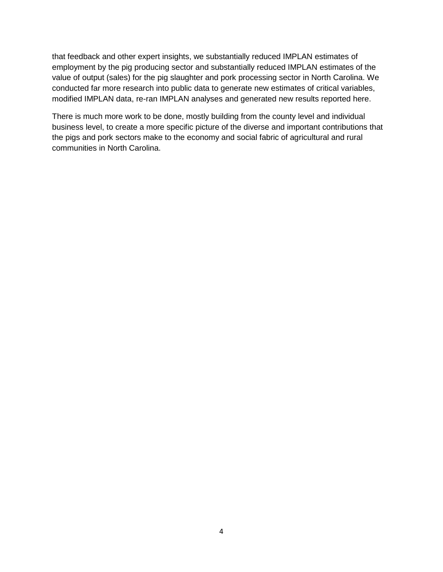that feedback and other expert insights, we substantially reduced IMPLAN estimates of employment by the pig producing sector and substantially reduced IMPLAN estimates of the value of output (sales) for the pig slaughter and pork processing sector in North Carolina. We conducted far more research into public data to generate new estimates of critical variables, modified IMPLAN data, re-ran IMPLAN analyses and generated new results reported here.

There is much more work to be done, mostly building from the county level and individual business level, to create a more specific picture of the diverse and important contributions that the pigs and pork sectors make to the economy and social fabric of agricultural and rural communities in North Carolina.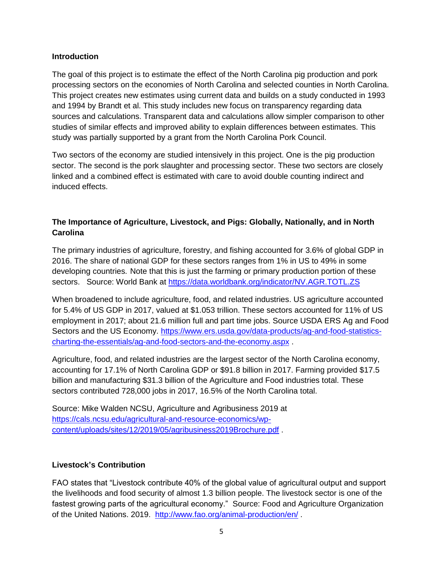#### **Introduction**

The goal of this project is to estimate the effect of the North Carolina pig production and pork processing sectors on the economies of North Carolina and selected counties in North Carolina. This project creates new estimates using current data and builds on a study conducted in 1993 and 1994 by Brandt et al. This study includes new focus on transparency regarding data sources and calculations. Transparent data and calculations allow simpler comparison to other studies of similar effects and improved ability to explain differences between estimates. This study was partially supported by a grant from the North Carolina Pork Council.

Two sectors of the economy are studied intensively in this project. One is the pig production sector. The second is the pork slaughter and processing sector. These two sectors are closely linked and a combined effect is estimated with care to avoid double counting indirect and induced effects.

# **The Importance of Agriculture, Livestock, and Pigs: Globally, Nationally, and in North Carolina**

The primary industries of agriculture, forestry, and fishing accounted for 3.6% of global GDP in 2016. The share of national GDP for these sectors ranges from 1% in US to 49% in some developing countries. Note that this is just the farming or primary production portion of these sectors. Source: World Bank at<https://data.worldbank.org/indicator/NV.AGR.TOTL.ZS>

When broadened to include agriculture, food, and related industries. US agriculture accounted for 5.4% of US GDP in 2017, valued at \$1.053 trillion. These sectors accounted for 11% of US employment in 2017; about 21.6 million full and part time jobs. Source USDA ERS Ag and Food Sectors and the US Economy. [https://www.ers.usda.gov/data-products/ag-and-food-statistics](https://www.ers.usda.gov/data-products/ag-and-food-statistics-charting-the-essentials/ag-and-food-sectors-and-the-economy.aspx)[charting-the-essentials/ag-and-food-sectors-and-the-economy.aspx](https://www.ers.usda.gov/data-products/ag-and-food-statistics-charting-the-essentials/ag-and-food-sectors-and-the-economy.aspx) .

Agriculture, food, and related industries are the largest sector of the North Carolina economy, accounting for 17.1% of North Carolina GDP or \$91.8 billion in 2017. Farming provided \$17.5 billion and manufacturing \$31.3 billion of the Agriculture and Food industries total. These sectors contributed 728,000 jobs in 2017, 16.5% of the North Carolina total.

Source: Mike Walden NCSU, Agriculture and Agribusiness 2019 at [https://cals.ncsu.edu/agricultural-and-resource-economics/wp](https://cals.ncsu.edu/agricultural-and-resource-economics/wp-content/uploads/sites/12/2019/05/agribusiness2019Brochure.pdf)[content/uploads/sites/12/2019/05/agribusiness2019Brochure.pdf](https://cals.ncsu.edu/agricultural-and-resource-economics/wp-content/uploads/sites/12/2019/05/agribusiness2019Brochure.pdf) .

## **Livestock's Contribution**

FAO states that "Livestock contribute 40% of the global value of agricultural output and support the livelihoods and food security of almost 1.3 billion people. The livestock sector is one of the fastest growing parts of the agricultural economy." Source: Food and Agriculture Organization of the United Nations. 2019. <http://www.fao.org/animal-production/en/> .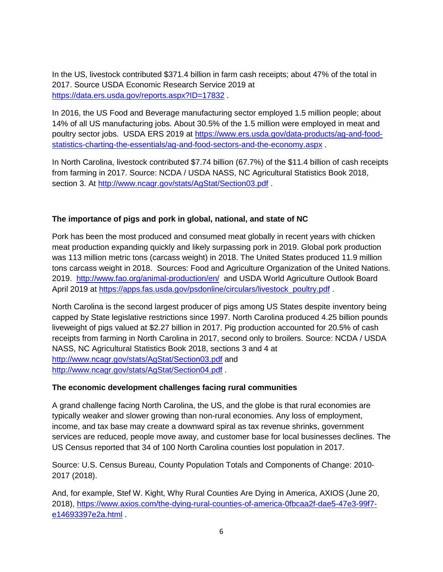In the US, livestock contributed \$371.4 billion in farm cash receipts; about 47% of the total in 2017. Source USDA Economic Research Service 2019 at <https://data.ers.usda.gov/reports.aspx?ID=17832> .

In 2016, the US Food and Beverage manufacturing sector employed 1.5 million people; about 14% of all US manufacturing jobs. About 30.5% of the 1.5 million were employed in meat and poultry sector jobs. USDA ERS 2019 at [https://www.ers.usda.gov/data-products/ag-and-food](https://www.ers.usda.gov/data-products/ag-and-food-statistics-charting-the-essentials/ag-and-food-sectors-and-the-economy.aspx)[statistics-charting-the-essentials/ag-and-food-sectors-and-the-economy.aspx](https://www.ers.usda.gov/data-products/ag-and-food-statistics-charting-the-essentials/ag-and-food-sectors-and-the-economy.aspx) .

In North Carolina, livestock contributed \$7.74 billion (67.7%) of the \$11.4 billion of cash receipts from farming in 2017. Source: NCDA / USDA NASS, NC Agricultural Statistics Book 2018, section 3. At<http://www.ncagr.gov/stats/AgStat/Section03.pdf>.

# **The importance of pigs and pork in global, national, and state of NC**

Pork has been the most produced and consumed meat globally in recent years with chicken meat production expanding quickly and likely surpassing pork in 2019. Global pork production was 113 million metric tons (carcass weight) in 2018. The United States produced 11.9 million tons carcass weight in 2018. Sources: Food and Agriculture Organization of the United Nations. 2019. <http://www.fao.org/animal-production/en/> and USDA World Agriculture Outlook Board April 2019 at [https://apps.fas.usda.gov/psdonline/circulars/livestock\\_poultry.pdf](https://apps.fas.usda.gov/psdonline/circulars/livestock_poultry.pdf) .

North Carolina is the second largest producer of pigs among US States despite inventory being capped by State legislative restrictions since 1997. North Carolina produced 4.25 billion pounds liveweight of pigs valued at \$2.27 billion in 2017. Pig production accounted for 20.5% of cash receipts from farming in North Carolina in 2017, second only to broilers. Source: NCDA / USDA NASS, NC Agricultural Statistics Book 2018, sections 3 and 4 at <http://www.ncagr.gov/stats/AgStat/Section03.pdf> and <http://www.ncagr.gov/stats/AgStat/Section04.pdf> .

#### **The economic development challenges facing rural communities**

A grand challenge facing North Carolina, the US, and the globe is that rural economies are typically weaker and slower growing than non-rural economies. Any loss of employment, income, and tax base may create a downward spiral as tax revenue shrinks, government services are reduced, people move away, and customer base for local businesses declines. The US Census reported that 34 of 100 North Carolina counties lost population in 2017.

Source: U.S. Census Bureau, County Population Totals and Components of Change: 2010- 2017 (2018).

And, for example, Stef W. Kight, Why Rural Counties Are Dying in America, AXIOS (June 20, 2018), [https://www.axios.com/the-dying-rural-counties-of-america-0fbcaa2f-dae5-47e3-99f7](https://www.axios.com/the-dying-rural-counties-of-america-0fbcaa2f-dae5-47e3-99f7-e14693397e2a.html) [e14693397e2a.html](https://www.axios.com/the-dying-rural-counties-of-america-0fbcaa2f-dae5-47e3-99f7-e14693397e2a.html) .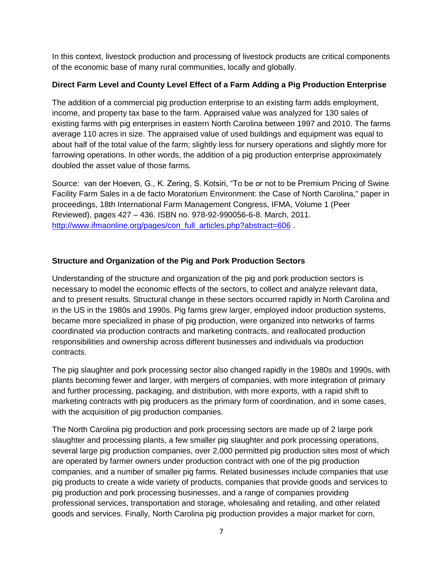In this context, livestock production and processing of livestock products are critical components of the economic base of many rural communities, locally and globally.

## **Direct Farm Level and County Level Effect of a Farm Adding a Pig Production Enterprise**

The addition of a commercial pig production enterprise to an existing farm adds employment, income, and property tax base to the farm. Appraised value was analyzed for 130 sales of existing farms with pig enterprises in eastern North Carolina between 1997 and 2010. The farms average 110 acres in size. The appraised value of used buildings and equipment was equal to about half of the total value of the farm; slightly less for nursery operations and slightly more for farrowing operations. In other words, the addition of a pig production enterprise approximately doubled the asset value of those farms.

Source: van der Hoeven, G., K. Zering, S. Kotsiri, "To be or not to be Premium Pricing of Swine Facility Farm Sales in a de facto Moratorium Environment: the Case of North Carolina," paper in proceedings, 18th International Farm Management Congress, IFMA, Volume 1 (Peer Reviewed), pages 427 – 436. ISBN no. 978-92-990056-6-8. March, 2011. [http://www.ifmaonline.org/pages/con\\_full\\_articles.php?abstract=606](http://www.ifmaonline.org/pages/con_full_articles.php?abstract=606) .

# **Structure and Organization of the Pig and Pork Production Sectors**

Understanding of the structure and organization of the pig and pork production sectors is necessary to model the economic effects of the sectors, to collect and analyze relevant data, and to present results. Structural change in these sectors occurred rapidly in North Carolina and in the US in the 1980s and 1990s. Pig farms grew larger, employed indoor production systems, became more specialized in phase of pig production, were organized into networks of farms coordinated via production contracts and marketing contracts, and reallocated production responsibilities and ownership across different businesses and individuals via production contracts.

The pig slaughter and pork processing sector also changed rapidly in the 1980s and 1990s, with plants becoming fewer and larger, with mergers of companies, with more integration of primary and further processing, packaging, and distribution, with more exports, with a rapid shift to marketing contracts with pig producers as the primary form of coordination, and in some cases, with the acquisition of pig production companies.

The North Carolina pig production and pork processing sectors are made up of 2 large pork slaughter and processing plants, a few smaller pig slaughter and pork processing operations, several large pig production companies, over 2,000 permitted pig production sites most of which are operated by farmer owners under production contract with one of the pig production companies, and a number of smaller pig farms. Related businesses include companies that use pig products to create a wide variety of products, companies that provide goods and services to pig production and pork processing businesses, and a range of companies providing professional services, transportation and storage, wholesaling and retailing, and other related goods and services. Finally, North Carolina pig production provides a major market for corn,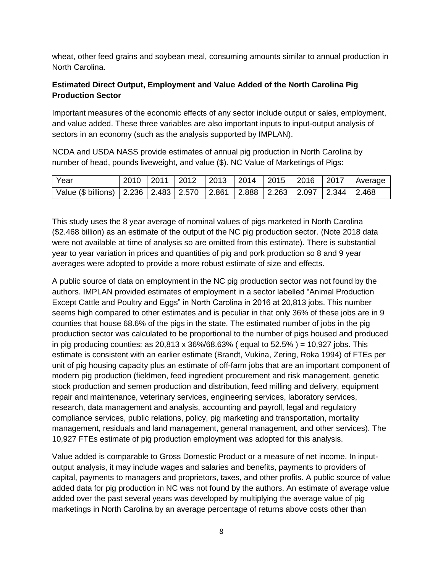wheat, other feed grains and soybean meal, consuming amounts similar to annual production in North Carolina.

## **Estimated Direct Output, Employment and Value Added of the North Carolina Pig Production Sector**

Important measures of the economic effects of any sector include output or sales, employment, and value added. These three variables are also important inputs to input-output analysis of sectors in an economy (such as the analysis supported by IMPLAN).

NCDA and USDA NASS provide estimates of annual pig production in North Carolina by number of head, pounds liveweight, and value (\$). NC Value of Marketings of Pigs:

| Year                                                                                        |  |  |  |  | 2010   2011   2012   2013   2014   2015   2016   2017   Average |
|---------------------------------------------------------------------------------------------|--|--|--|--|-----------------------------------------------------------------|
| Value (\$ billions)   2.236   2.483   2.570   2.861   2.888   2.263   2.097   2.344   2.468 |  |  |  |  |                                                                 |

This study uses the 8 year average of nominal values of pigs marketed in North Carolina (\$2.468 billion) as an estimate of the output of the NC pig production sector. (Note 2018 data were not available at time of analysis so are omitted from this estimate). There is substantial year to year variation in prices and quantities of pig and pork production so 8 and 9 year averages were adopted to provide a more robust estimate of size and effects.

A public source of data on employment in the NC pig production sector was not found by the authors. IMPLAN provided estimates of employment in a sector labelled "Animal Production Except Cattle and Poultry and Eggs" in North Carolina in 2016 at 20,813 jobs. This number seems high compared to other estimates and is peculiar in that only 36% of these jobs are in 9 counties that house 68.6% of the pigs in the state. The estimated number of jobs in the pig production sector was calculated to be proportional to the number of pigs housed and produced in pig producing counties: as  $20,813 \times 36\%/68.63\%$  (equal to  $52.5\%$ ) = 10,927 jobs. This estimate is consistent with an earlier estimate (Brandt, Vukina, Zering, Roka 1994) of FTEs per unit of pig housing capacity plus an estimate of off-farm jobs that are an important component of modern pig production (fieldmen, feed ingredient procurement and risk management, genetic stock production and semen production and distribution, feed milling and delivery, equipment repair and maintenance, veterinary services, engineering services, laboratory services, research, data management and analysis, accounting and payroll, legal and regulatory compliance services, public relations, policy, pig marketing and transportation, mortality management, residuals and land management, general management, and other services). The 10,927 FTEs estimate of pig production employment was adopted for this analysis.

Value added is comparable to Gross Domestic Product or a measure of net income. In inputoutput analysis, it may include wages and salaries and benefits, payments to providers of capital, payments to managers and proprietors, taxes, and other profits. A public source of value added data for pig production in NC was not found by the authors. An estimate of average value added over the past several years was developed by multiplying the average value of pig marketings in North Carolina by an average percentage of returns above costs other than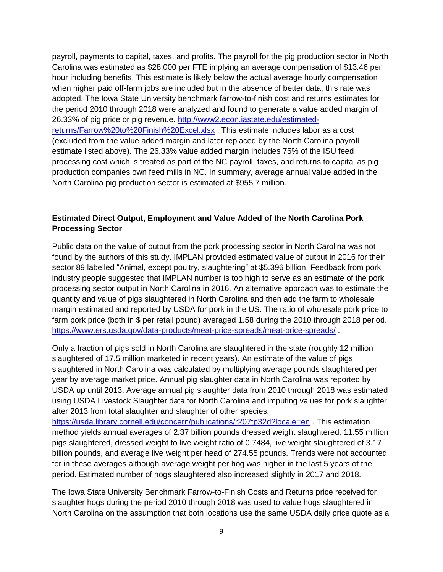payroll, payments to capital, taxes, and profits. The payroll for the pig production sector in North Carolina was estimated as \$28,000 per FTE implying an average compensation of \$13.46 per hour including benefits. This estimate is likely below the actual average hourly compensation when higher paid off-farm jobs are included but in the absence of better data, this rate was adopted. The Iowa State University benchmark farrow-to-finish cost and returns estimates for the period 2010 through 2018 were analyzed and found to generate a value added margin of 26.33% of pig price or pig revenue. [http://www2.econ.iastate.edu/estimated](http://www2.econ.iastate.edu/estimated-returns/Farrow%20to%20Finish%20Excel.xlsx)[returns/Farrow%20to%20Finish%20Excel.xlsx](http://www2.econ.iastate.edu/estimated-returns/Farrow%20to%20Finish%20Excel.xlsx) . This estimate includes labor as a cost (excluded from the value added margin and later replaced by the North Carolina payroll estimate listed above). The 26.33% value added margin includes 75% of the ISU feed processing cost which is treated as part of the NC payroll, taxes, and returns to capital as pig production companies own feed mills in NC. In summary, average annual value added in the North Carolina pig production sector is estimated at \$955.7 million.

#### **Estimated Direct Output, Employment and Value Added of the North Carolina Pork Processing Sector**

Public data on the value of output from the pork processing sector in North Carolina was not found by the authors of this study. IMPLAN provided estimated value of output in 2016 for their sector 89 labelled "Animal, except poultry, slaughtering" at \$5.396 billion. Feedback from pork industry people suggested that IMPLAN number is too high to serve as an estimate of the pork processing sector output in North Carolina in 2016. An alternative approach was to estimate the quantity and value of pigs slaughtered in North Carolina and then add the farm to wholesale margin estimated and reported by USDA for pork in the US. The ratio of wholesale pork price to farm pork price (both in \$ per retail pound) averaged 1.58 during the 2010 through 2018 period. <https://www.ers.usda.gov/data-products/meat-price-spreads/meat-price-spreads/> .

Only a fraction of pigs sold in North Carolina are slaughtered in the state (roughly 12 million slaughtered of 17.5 million marketed in recent years). An estimate of the value of pigs slaughtered in North Carolina was calculated by multiplying average pounds slaughtered per year by average market price. Annual pig slaughter data in North Carolina was reported by USDA up until 2013. Average annual pig slaughter data from 2010 through 2018 was estimated using USDA Livestock Slaughter data for North Carolina and imputing values for pork slaughter after 2013 from total slaughter and slaughter of other species.

<https://usda.library.cornell.edu/concern/publications/r207tp32d?locale=en> . This estimation method yields annual averages of 2.37 billion pounds dressed weight slaughtered, 11.55 million pigs slaughtered, dressed weight to live weight ratio of 0.7484, live weight slaughtered of 3.17 billion pounds, and average live weight per head of 274.55 pounds. Trends were not accounted for in these averages although average weight per hog was higher in the last 5 years of the period. Estimated number of hogs slaughtered also increased slightly in 2017 and 2018.

The Iowa State University Benchmark Farrow-to-Finish Costs and Returns price received for slaughter hogs during the period 2010 through 2018 was used to value hogs slaughtered in North Carolina on the assumption that both locations use the same USDA daily price quote as a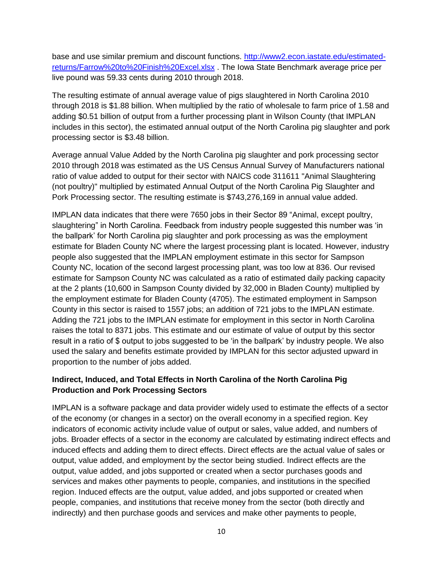base and use similar premium and discount functions. [http://www2.econ.iastate.edu/estimated](http://www2.econ.iastate.edu/estimated-returns/Farrow%20to%20Finish%20Excel.xlsx)[returns/Farrow%20to%20Finish%20Excel.xlsx](http://www2.econ.iastate.edu/estimated-returns/Farrow%20to%20Finish%20Excel.xlsx) . The Iowa State Benchmark average price per live pound was 59.33 cents during 2010 through 2018.

The resulting estimate of annual average value of pigs slaughtered in North Carolina 2010 through 2018 is \$1.88 billion. When multiplied by the ratio of wholesale to farm price of 1.58 and adding \$0.51 billion of output from a further processing plant in Wilson County (that IMPLAN includes in this sector), the estimated annual output of the North Carolina pig slaughter and pork processing sector is \$3.48 billion.

Average annual Value Added by the North Carolina pig slaughter and pork processing sector 2010 through 2018 was estimated as the US Census Annual Survey of Manufacturers national ratio of value added to output for their sector with NAICS code 311611 "Animal Slaughtering (not poultry)" multiplied by estimated Annual Output of the North Carolina Pig Slaughter and Pork Processing sector. The resulting estimate is \$743,276,169 in annual value added.

IMPLAN data indicates that there were 7650 jobs in their Sector 89 "Animal, except poultry, slaughtering" in North Carolina. Feedback from industry people suggested this number was 'in the ballpark' for North Carolina pig slaughter and pork processing as was the employment estimate for Bladen County NC where the largest processing plant is located. However, industry people also suggested that the IMPLAN employment estimate in this sector for Sampson County NC, location of the second largest processing plant, was too low at 836. Our revised estimate for Sampson County NC was calculated as a ratio of estimated daily packing capacity at the 2 plants (10,600 in Sampson County divided by 32,000 in Bladen County) multiplied by the employment estimate for Bladen County (4705). The estimated employment in Sampson County in this sector is raised to 1557 jobs; an addition of 721 jobs to the IMPLAN estimate. Adding the 721 jobs to the IMPLAN estimate for employment in this sector in North Carolina raises the total to 8371 jobs. This estimate and our estimate of value of output by this sector result in a ratio of \$ output to jobs suggested to be 'in the ballpark' by industry people. We also used the salary and benefits estimate provided by IMPLAN for this sector adjusted upward in proportion to the number of jobs added.

# **Indirect, Induced, and Total Effects in North Carolina of the North Carolina Pig Production and Pork Processing Sectors**

IMPLAN is a software package and data provider widely used to estimate the effects of a sector of the economy (or changes in a sector) on the overall economy in a specified region. Key indicators of economic activity include value of output or sales, value added, and numbers of jobs. Broader effects of a sector in the economy are calculated by estimating indirect effects and induced effects and adding them to direct effects. Direct effects are the actual value of sales or output, value added, and employment by the sector being studied. Indirect effects are the output, value added, and jobs supported or created when a sector purchases goods and services and makes other payments to people, companies, and institutions in the specified region. Induced effects are the output, value added, and jobs supported or created when people, companies, and institutions that receive money from the sector (both directly and indirectly) and then purchase goods and services and make other payments to people,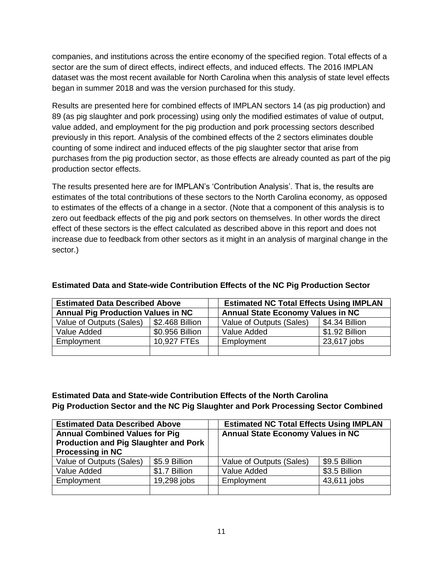companies, and institutions across the entire economy of the specified region. Total effects of a sector are the sum of direct effects, indirect effects, and induced effects. The 2016 IMPLAN dataset was the most recent available for North Carolina when this analysis of state level effects began in summer 2018 and was the version purchased for this study.

Results are presented here for combined effects of IMPLAN sectors 14 (as pig production) and 89 (as pig slaughter and pork processing) using only the modified estimates of value of output, value added, and employment for the pig production and pork processing sectors described previously in this report. Analysis of the combined effects of the 2 sectors eliminates double counting of some indirect and induced effects of the pig slaughter sector that arise from purchases from the pig production sector, as those effects are already counted as part of the pig production sector effects.

The results presented here are for IMPLAN's 'Contribution Analysis'. That is, the results are estimates of the total contributions of these sectors to the North Carolina economy, as opposed to estimates of the effects of a change in a sector. (Note that a component of this analysis is to zero out feedback effects of the pig and pork sectors on themselves. In other words the direct effect of these sectors is the effect calculated as described above in this report and does not increase due to feedback from other sectors as it might in an analysis of marginal change in the sector.)

| <b>Estimated Data Described Above</b>     |                         |                                          | <b>Estimated NC Total Effects Using IMPLAN</b> |                |  |
|-------------------------------------------|-------------------------|------------------------------------------|------------------------------------------------|----------------|--|
| <b>Annual Pig Production Values in NC</b> |                         | <b>Annual State Economy Values in NC</b> |                                                |                |  |
| Value of Outputs (Sales)                  | $\vert$ \$2.468 Billion |                                          | Value of Outputs (Sales)                       | S4.34 Billion  |  |
| Value Added                               | \$0.956 Billion         |                                          | Value Added                                    | \$1.92 Billion |  |
| Employment                                | 10,927 FTEs             |                                          | Employment                                     | 23,617 jobs    |  |
|                                           |                         |                                          |                                                |                |  |

#### **Estimated Data and State-wide Contribution Effects of the NC Pig Production Sector**

**Estimated Data and State-wide Contribution Effects of the North Carolina Pig Production Sector and the NC Pig Slaughter and Pork Processing Sector Combined**

| <b>Estimated Data Described Above</b>        |               |  | <b>Estimated NC Total Effects Using IMPLAN</b> |               |  |  |
|----------------------------------------------|---------------|--|------------------------------------------------|---------------|--|--|
| <b>Annual Combined Values for Pig</b>        |               |  | <b>Annual State Economy Values in NC</b>       |               |  |  |
| <b>Production and Pig Slaughter and Pork</b> |               |  |                                                |               |  |  |
| <b>Processing in NC</b>                      |               |  |                                                |               |  |  |
| Value of Outputs (Sales)                     | \$5.9 Billion |  | Value of Outputs (Sales)                       | \$9.5 Billion |  |  |
| Value Added                                  | \$1.7 Billion |  | Value Added                                    | \$3.5 Billion |  |  |
| Employment                                   | 19,298 jobs   |  | Employment                                     | 43,611 jobs   |  |  |
|                                              |               |  |                                                |               |  |  |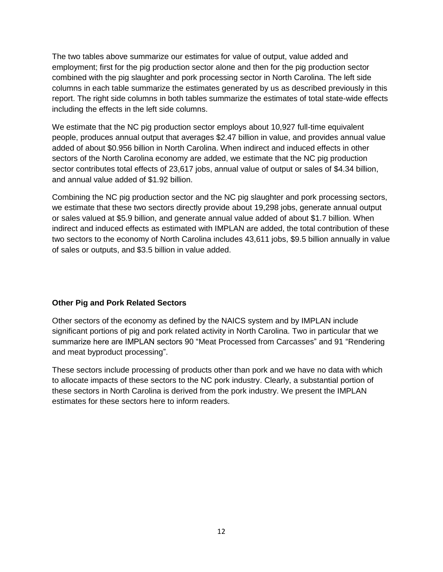The two tables above summarize our estimates for value of output, value added and employment; first for the pig production sector alone and then for the pig production sector combined with the pig slaughter and pork processing sector in North Carolina. The left side columns in each table summarize the estimates generated by us as described previously in this report. The right side columns in both tables summarize the estimates of total state-wide effects including the effects in the left side columns.

We estimate that the NC pig production sector employs about 10,927 full-time equivalent people, produces annual output that averages \$2.47 billion in value, and provides annual value added of about \$0.956 billion in North Carolina. When indirect and induced effects in other sectors of the North Carolina economy are added, we estimate that the NC pig production sector contributes total effects of 23,617 jobs, annual value of output or sales of \$4.34 billion, and annual value added of \$1.92 billion.

Combining the NC pig production sector and the NC pig slaughter and pork processing sectors, we estimate that these two sectors directly provide about 19,298 jobs, generate annual output or sales valued at \$5.9 billion, and generate annual value added of about \$1.7 billion. When indirect and induced effects as estimated with IMPLAN are added, the total contribution of these two sectors to the economy of North Carolina includes 43,611 jobs, \$9.5 billion annually in value of sales or outputs, and \$3.5 billion in value added.

#### **Other Pig and Pork Related Sectors**

Other sectors of the economy as defined by the NAICS system and by IMPLAN include significant portions of pig and pork related activity in North Carolina. Two in particular that we summarize here are IMPLAN sectors 90 "Meat Processed from Carcasses" and 91 "Rendering and meat byproduct processing".

These sectors include processing of products other than pork and we have no data with which to allocate impacts of these sectors to the NC pork industry. Clearly, a substantial portion of these sectors in North Carolina is derived from the pork industry. We present the IMPLAN estimates for these sectors here to inform readers.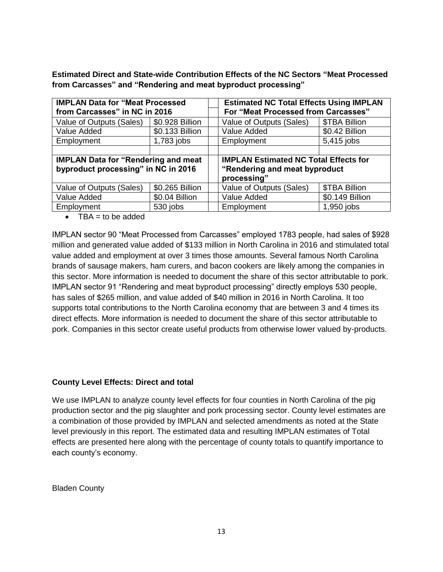**Estimated Direct and State-wide Contribution Effects of the NC Sectors "Meat Processed from Carcasses" and "Rendering and meat byproduct processing"**

| <b>IMPLAN Data for "Meat Processed</b>     |                 |  | <b>Estimated NC Total Effects Using IMPLAN</b> |                 |  |  |
|--------------------------------------------|-----------------|--|------------------------------------------------|-----------------|--|--|
| from Carcasses" in NC in 2016              |                 |  | For "Meat Processed from Carcasses"            |                 |  |  |
| Value of Outputs (Sales)                   | \$0.928 Billion |  | Value of Outputs (Sales)                       | \$TBA Billion   |  |  |
| Value Added                                | \$0.133 Billion |  | Value Added                                    | \$0.42 Billion  |  |  |
| Employment                                 | 1,783 jobs      |  | Employment                                     | 5,415 jobs      |  |  |
|                                            |                 |  |                                                |                 |  |  |
| <b>IMPLAN Data for "Rendering and meat</b> |                 |  | <b>IMPLAN Estimated NC Total Effects for</b>   |                 |  |  |
| byproduct processing" in NC in 2016        |                 |  | "Rendering and meat byproduct                  |                 |  |  |
|                                            |                 |  | processing"                                    |                 |  |  |
| Value of Outputs (Sales)                   | \$0.265 Billion |  | Value of Outputs (Sales)                       | \$TBA Billion   |  |  |
| Value Added                                | \$0.04 Billion  |  | Value Added                                    | \$0.149 Billion |  |  |
| Employment                                 | 530 jobs        |  | Employment                                     | 1,950 jobs      |  |  |

 $\bullet$  TBA = to be added

IMPLAN sector 90 "Meat Processed from Carcasses" employed 1783 people, had sales of \$928 million and generated value added of \$133 million in North Carolina in 2016 and stimulated total value added and employment at over 3 times those amounts. Several famous North Carolina brands of sausage makers, ham curers, and bacon cookers are likely among the companies in this sector. More information is needed to document the share of this sector attributable to pork. IMPLAN sector 91 "Rendering and meat byproduct processing" directly employs 530 people, has sales of \$265 million, and value added of \$40 million in 2016 in North Carolina. It too supports total contributions to the North Carolina economy that are between 3 and 4 times its direct effects. More information is needed to document the share of this sector attributable to pork. Companies in this sector create useful products from otherwise lower valued by-products.

#### **County Level Effects: Direct and total**

We use IMPLAN to analyze county level effects for four counties in North Carolina of the pig production sector and the pig slaughter and pork processing sector. County level estimates are a combination of those provided by IMPLAN and selected amendments as noted at the State level previously in this report. The estimated data and resulting IMPLAN estimates of Total effects are presented here along with the percentage of county totals to quantify importance to each county's economy.

Bladen County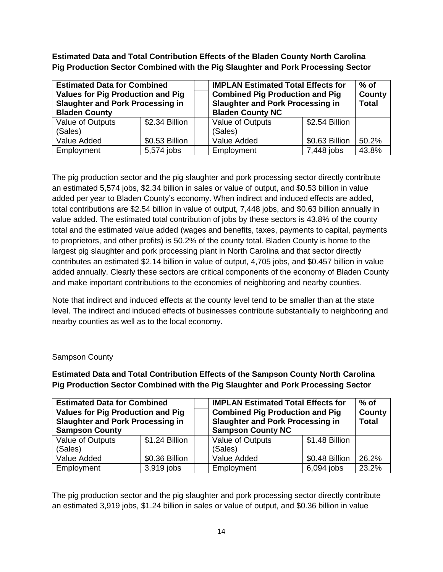**Estimated Data and Total Contribution Effects of the Bladen County North Carolina Pig Production Sector Combined with the Pig Slaughter and Pork Processing Sector**

| <b>Estimated Data for Combined</b><br><b>Values for Pig Production and Pig</b><br><b>Slaughter and Pork Processing in</b><br><b>Bladen County</b> |                | <b>IMPLAN Estimated Total Effects for</b><br><b>Combined Pig Production and Pig</b><br><b>Slaughter and Pork Processing in</b><br><b>Bladen County NC</b> | $%$ of<br><b>County</b><br><b>Total</b> |                |       |
|---------------------------------------------------------------------------------------------------------------------------------------------------|----------------|-----------------------------------------------------------------------------------------------------------------------------------------------------------|-----------------------------------------|----------------|-------|
| Value of Outputs<br>(Sales)                                                                                                                       | \$2.34 Billion |                                                                                                                                                           | Value of Outputs<br>(Sales)             | \$2.54 Billion |       |
| Value Added                                                                                                                                       | \$0.53 Billion |                                                                                                                                                           | Value Added                             | \$0.63 Billion | 50.2% |
| Employment                                                                                                                                        | 5,574 jobs     |                                                                                                                                                           | Employment                              | 7,448 jobs     | 43.8% |

The pig production sector and the pig slaughter and pork processing sector directly contribute an estimated 5,574 jobs, \$2.34 billion in sales or value of output, and \$0.53 billion in value added per year to Bladen County's economy. When indirect and induced effects are added, total contributions are \$2.54 billion in value of output, 7,448 jobs, and \$0.63 billion annually in value added. The estimated total contribution of jobs by these sectors is 43.8% of the county total and the estimated value added (wages and benefits, taxes, payments to capital, payments to proprietors, and other profits) is 50.2% of the county total. Bladen County is home to the largest pig slaughter and pork processing plant in North Carolina and that sector directly contributes an estimated \$2.14 billion in value of output, 4,705 jobs, and \$0.457 billion in value added annually. Clearly these sectors are critical components of the economy of Bladen County and make important contributions to the economies of neighboring and nearby counties.

Note that indirect and induced effects at the county level tend to be smaller than at the state level. The indirect and induced effects of businesses contribute substantially to neighboring and nearby counties as well as to the local economy.

#### Sampson County

**Estimated Data and Total Contribution Effects of the Sampson County North Carolina Pig Production Sector Combined with the Pig Slaughter and Pork Processing Sector**

| <b>Estimated Data for Combined</b><br><b>Values for Pig Production and Pig</b><br><b>Slaughter and Pork Processing in</b><br><b>Sampson County</b> |                | <b>IMPLAN Estimated Total Effects for</b><br><b>Combined Pig Production and Pig</b><br><b>Slaughter and Pork Processing in</b><br><b>Sampson County NC</b> | $%$ of<br>County<br><b>Total</b> |                |       |
|----------------------------------------------------------------------------------------------------------------------------------------------------|----------------|------------------------------------------------------------------------------------------------------------------------------------------------------------|----------------------------------|----------------|-------|
| Value of Outputs<br>(Sales)                                                                                                                        | \$1.24 Billion |                                                                                                                                                            | Value of Outputs<br>(Sales)      | \$1.48 Billion |       |
| Value Added                                                                                                                                        | \$0.36 Billion |                                                                                                                                                            | Value Added                      | \$0.48 Billion | 26.2% |
| Employment                                                                                                                                         | 3,919 jobs     |                                                                                                                                                            | Employment                       | $6,094$ jobs   | 23.2% |

The pig production sector and the pig slaughter and pork processing sector directly contribute an estimated 3,919 jobs, \$1.24 billion in sales or value of output, and \$0.36 billion in value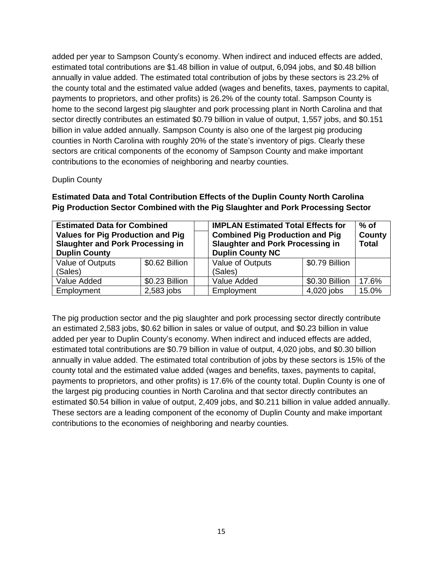added per year to Sampson County's economy. When indirect and induced effects are added, estimated total contributions are \$1.48 billion in value of output, 6,094 jobs, and \$0.48 billion annually in value added. The estimated total contribution of jobs by these sectors is 23.2% of the county total and the estimated value added (wages and benefits, taxes, payments to capital, payments to proprietors, and other profits) is 26.2% of the county total. Sampson County is home to the second largest pig slaughter and pork processing plant in North Carolina and that sector directly contributes an estimated \$0.79 billion in value of output, 1,557 jobs, and \$0.151 billion in value added annually. Sampson County is also one of the largest pig producing counties in North Carolina with roughly 20% of the state's inventory of pigs. Clearly these sectors are critical components of the economy of Sampson County and make important contributions to the economies of neighboring and nearby counties.

#### Duplin County

## **Estimated Data and Total Contribution Effects of the Duplin County North Carolina Pig Production Sector Combined with the Pig Slaughter and Pork Processing Sector**

| <b>Estimated Data for Combined</b>      |                | <b>IMPLAN Estimated Total Effects for</b> |                                         | $%$ of         |              |
|-----------------------------------------|----------------|-------------------------------------------|-----------------------------------------|----------------|--------------|
| Values for Pig Production and Pig       |                |                                           | <b>Combined Pig Production and Pig</b>  | <b>County</b>  |              |
| <b>Slaughter and Pork Processing in</b> |                |                                           | <b>Slaughter and Pork Processing in</b> |                | <b>Total</b> |
| <b>Duplin County</b>                    |                |                                           | <b>Duplin County NC</b>                 |                |              |
| Value of Outputs                        | \$0.62 Billion |                                           | Value of Outputs                        | \$0.79 Billion |              |
| (Sales)                                 |                |                                           | (Sales)                                 |                |              |
| Value Added                             | \$0.23 Billion |                                           | Value Added                             | \$0.30 Billion | 17.6%        |
| Employment                              | $2,583$ jobs   |                                           | Employment                              | 4,020 jobs     | 15.0%        |

The pig production sector and the pig slaughter and pork processing sector directly contribute an estimated 2,583 jobs, \$0.62 billion in sales or value of output, and \$0.23 billion in value added per year to Duplin County's economy. When indirect and induced effects are added, estimated total contributions are \$0.79 billion in value of output, 4,020 jobs, and \$0.30 billion annually in value added. The estimated total contribution of jobs by these sectors is 15% of the county total and the estimated value added (wages and benefits, taxes, payments to capital, payments to proprietors, and other profits) is 17.6% of the county total. Duplin County is one of the largest pig producing counties in North Carolina and that sector directly contributes an estimated \$0.54 billion in value of output, 2,409 jobs, and \$0.211 billion in value added annually. These sectors are a leading component of the economy of Duplin County and make important contributions to the economies of neighboring and nearby counties.